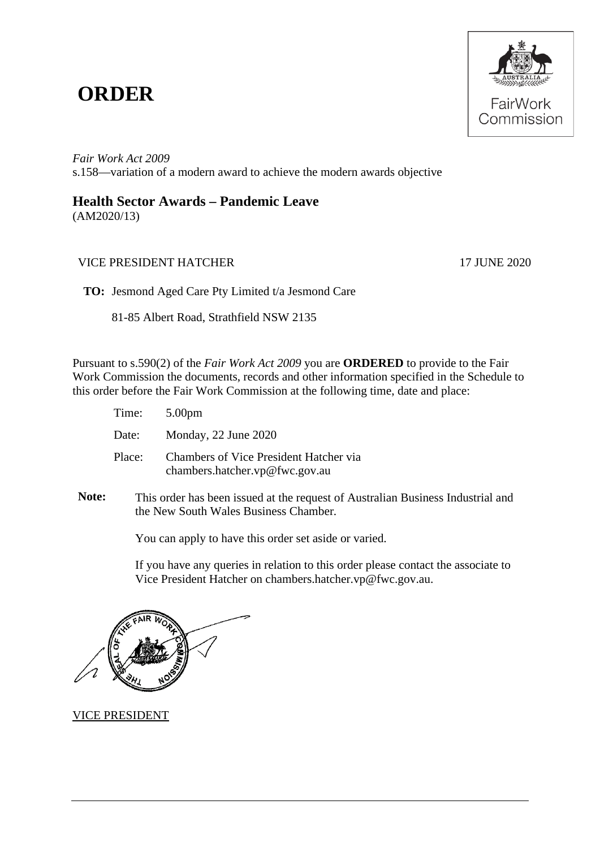## **ORDER**



*Fair Work Act 2009*  s.158—variation of a modern award to achieve the modern awards objective

## **Health Sector Awards – Pandemic Leave**

(AM2020/13)

## VICE PRESIDENT HATCHER 17 JUNE 2020

**TO:** Jesmond Aged Care Pty Limited t/a Jesmond Care

81-85 Albert Road, Strathfield NSW 2135

Pursuant to s.590(2) of the *Fair Work Act 2009* you are **ORDERED** to provide to the Fair Work Commission the documents, records and other information specified in the Schedule to this order before the Fair Work Commission at the following time, date and place:

| Time:  | 5.00pm                                                                          |
|--------|---------------------------------------------------------------------------------|
| Date:  | Monday, 22 June 2020                                                            |
| Place: | <b>Chambers of Vice President Hatcher via</b><br>chambers.hatcher.vp@fwc.gov.au |

**Note:** This order has been issued at the request of Australian Business Industrial and the New South Wales Business Chamber*.*

You can apply to have this order set aside or varied.

If you have any queries in relation to this order please contact the associate to Vice President Hatcher on chambers.hatcher.vp@fwc.gov.au.

VICE PRESIDENT